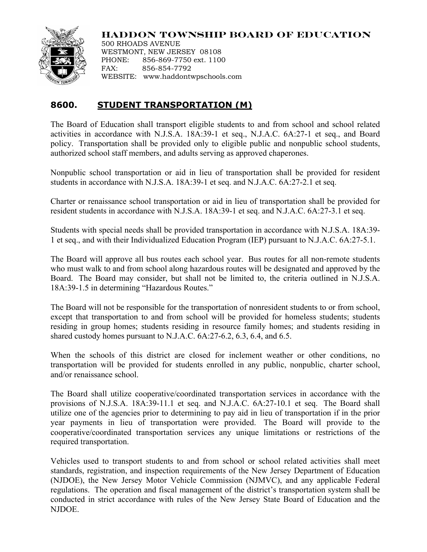

**HADDON TOWNSHIP BOARD OF EDUCATION**

500 RHOADS AVENUE WESTMONT, NEW JERSEY 08108 PHONE: 856-869-7750 ext. 1100 FAX: 856-854-7792 WEBSITE: www.haddontwpschools.com

## **8600. STUDENT TRANSPORTATION (M)**

The Board of Education shall transport eligible students to and from school and school related activities in accordance with N.J.S.A. 18A:39-1 et seq., N.J.A.C. 6A:27-1 et seq., and Board policy. Transportation shall be provided only to eligible public and nonpublic school students, authorized school staff members, and adults serving as approved chaperones.

Nonpublic school transportation or aid in lieu of transportation shall be provided for resident students in accordance with N.J.S.A. 18A:39-1 et seq. and N.J.A.C. 6A:27-2.1 et seq.

Charter or renaissance school transportation or aid in lieu of transportation shall be provided for resident students in accordance with N.J.S.A. 18A:39-1 et seq. and N.J.A.C. 6A:27-3.1 et seq.

Students with special needs shall be provided transportation in accordance with N.J.S.A. 18A:39- 1 et seq., and with their Individualized Education Program (IEP) pursuant to N.J.A.C. 6A:27-5.1.

The Board will approve all bus routes each school year. Bus routes for all non-remote students who must walk to and from school along hazardous routes will be designated and approved by the Board. The Board may consider, but shall not be limited to, the criteria outlined in N.J.S.A. 18A:39-1.5 in determining "Hazardous Routes."

The Board will not be responsible for the transportation of nonresident students to or from school, except that transportation to and from school will be provided for homeless students; students residing in group homes; students residing in resource family homes; and students residing in shared custody homes pursuant to N.J.A.C. 6A:27-6.2, 6.3, 6.4, and 6.5.

When the schools of this district are closed for inclement weather or other conditions, no transportation will be provided for students enrolled in any public, nonpublic, charter school, and/or renaissance school.

The Board shall utilize cooperative/coordinated transportation services in accordance with the provisions of N.J.S.A. 18A:39-11.1 et seq. and N.J.A.C. 6A:27-10.1 et seq. The Board shall utilize one of the agencies prior to determining to pay aid in lieu of transportation if in the prior year payments in lieu of transportation were provided. The Board will provide to the cooperative/coordinated transportation services any unique limitations or restrictions of the required transportation.

Vehicles used to transport students to and from school or school related activities shall meet standards, registration, and inspection requirements of the New Jersey Department of Education (NJDOE), the New Jersey Motor Vehicle Commission (NJMVC), and any applicable Federal regulations. The operation and fiscal management of the district's transportation system shall be conducted in strict accordance with rules of the New Jersey State Board of Education and the NJDOE.